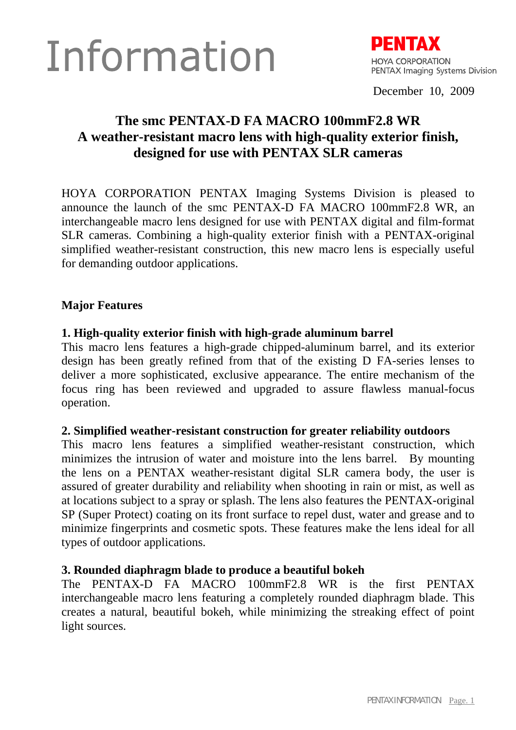# Information



December 10, 2009

# **The smc PENTAX-D FA MACRO 100mmF2.8 WR A weather-resistant macro lens with high-quality exterior finish, designed for use with PENTAX SLR cameras**

HOYA CORPORATION PENTAX Imaging Systems Division is pleased to announce the launch of the smc PENTAX-D FA MACRO 100mmF2.8 WR, an interchangeable macro lens designed for use with PENTAX digital and film-format SLR cameras. Combining a high-quality exterior finish with a PENTAX-original simplified weather-resistant construction, this new macro lens is especially useful for demanding outdoor applications.

# **Major Features**

## **1. High-quality exterior finish with high-grade aluminum barrel**

This macro lens features a high-grade chipped-aluminum barrel, and its exterior design has been greatly refined from that of the existing D FA-series lenses to deliver a more sophisticated, exclusive appearance. The entire mechanism of the focus ring has been reviewed and upgraded to assure flawless manual-focus operation.

#### **2. Simplified weather-resistant construction for greater reliability outdoors**

This macro lens features a simplified weather-resistant construction, which minimizes the intrusion of water and moisture into the lens barrel. By mounting the lens on a PENTAX weather-resistant digital SLR camera body, the user is assured of greater durability and reliability when shooting in rain or mist, as well as at locations subject to a spray or splash. The lens also features the PENTAX-original SP (Super Protect) coating on its front surface to repel dust, water and grease and to minimize fingerprints and cosmetic spots. These features make the lens ideal for all types of outdoor applications.

#### **3. Rounded diaphragm blade to produce a beautiful bokeh**

The PENTAX-D FA MACRO 100mmF2.8 WR is the first PENTAX interchangeable macro lens featuring a completely rounded diaphragm blade. This creates a natural, beautiful bokeh, while minimizing the streaking effect of point light sources.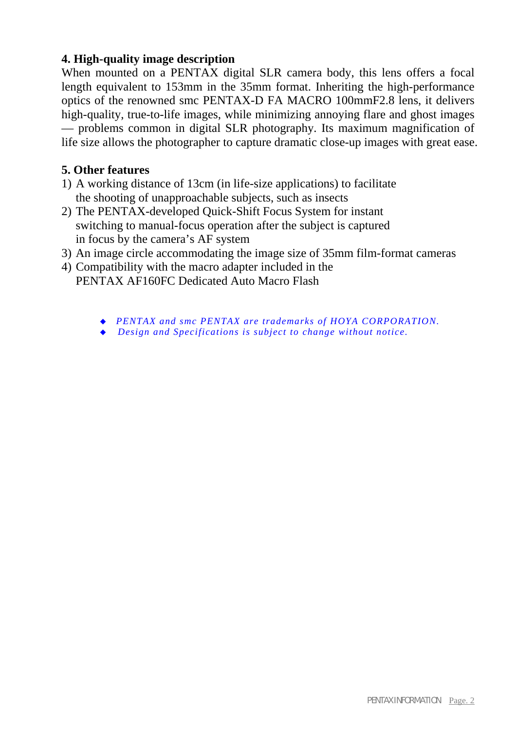# **4. High-quality image description**

When mounted on a PENTAX digital SLR camera body, this lens offers a focal length equivalent to 153mm in the 35mm format. Inheriting the high-performance optics of the renowned smc PENTAX-D FA MACRO 100mmF2.8 lens, it delivers high-quality, true-to-life images, while minimizing annoying flare and ghost images — problems common in digital SLR photography. Its maximum magnification of life size allows the photographer to capture dramatic close-up images with great ease.

## **5. Other features**

- 1) A working distance of 13cm (in life-size applications) to facilitate the shooting of unapproachable subjects, such as insects
- 2) The PENTAX-developed Quick-Shift Focus System for instant switching to manual-focus operation after the subject is captured in focus by the camera's AF system
- 3) An image circle accommodating the image size of 35mm film-format cameras
- 4) Compatibility with the macro adapter included in the PENTAX AF160FC Dedicated Auto Macro Flash
	- *PENTAX and smc PENTAX are trademarks of HOYA CORPORATION.*
	- *Design and Specifications is subject to change without notice.*